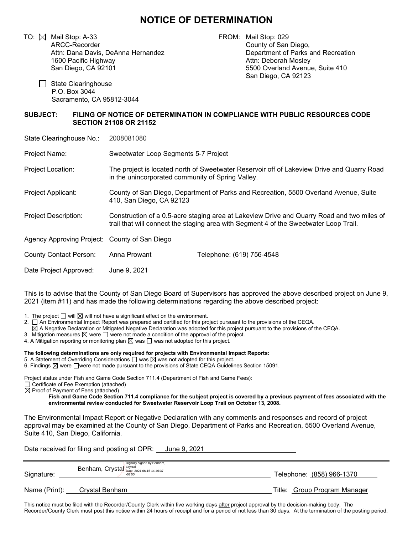## **NOTICE OF DETERMINATION**

TO:  $\boxtimes$  Mail Stop: A-33 ARCC-Recorder Attn: Dana Davis, DeAnna Hernandez 1600 Pacific Highway San Diego, CA 92101

FROM: Mail Stop: 029 County of San Diego, Department of Parks and Recreation Attn: Deborah Mosley 5500 Overland Avenue, Suite 410 San Diego, CA 92123

□ State Clearinghouse P.O. Box 3044 Sacramento, CA 95812-3044

## **SUBJECT: FILING OF NOTICE OF DETERMINATION IN COMPLIANCE WITH PUBLIC RESOURCES CODE SECTION 21108 OR 21152**

State Clearinghouse No.: 2008081080

Project Name: Sweetwater Loop Segments 5-7 Project

Project Location: The project is located north of Sweetwater Reservoir off of Lakeview Drive and Quarry Road in the unincorporated community of Spring Valley.

Project Applicant: County of San Diego, Department of Parks and Recreation, 5500 Overland Avenue, Suite 410, San Diego, CA 92123

Project Description: Construction of a 0.5-acre staging area at Lakeview Drive and Quarry Road and two miles of trail that will connect the staging area with Segment 4 of the Sweetwater Loop Trail.

Agency Approving Project: County of San Diego

County Contact Person: Anna Prowant Telephone: (619) 756-4548 Date Project Approved: June 9, 2021

This is to advise that the County of San Diego Board of Supervisors has approved the above described project on June 9, 2021 (item #11) and has made the following determinations regarding the above described project:

1. The project  $\Box$  will  $\boxtimes$  will not have a significant effect on the environment.

2. □ An Environmental Impact Report was prepared and certified for this project pursuant to the provisions of the CEQA.

 $\Box$  An Environmental impact Report was prepared and certified for this project pursuant to the provisions of the CEQA.<br> $\boxtimes$  A Negative Declaration or Mitigated Negative Declaration was adopted for this project pursuant

3. Mitigation measures  $\boxtimes$  were  $\Box$  were not made a condition of the approval of the project.

3. Mitigation measures  $\boxtimes$  were  $\bigsqcup$  were not made a condition of the approval of the p<br>4. A Mitigation reporting or monitoring plan  $\boxtimes$  was  $\bigsqcup$  was not adopted for this project.

**The following determinations are only required for projects with Environmental Impact Reports:**

5. A Statement of Overriding Considerations  $\Box$  was  $\boxtimes$  was not adopted for this project.

6. Findings  $\boxtimes$  were  $\Box$ were not made pursuant to the provisions of State CEQA Guidelines Section 15091.

Project status under Fish and Game Code Section 711.4 (Department of Fish and Game Fees):

□ Certificate of Fee Exemption (attached)

 $\Box$  Semindate of Fee Exemption (attached)<br> $\Box$  Proof of Payment of Fees (attached)

**Fish and Game Code Section 711.4 compliance for the subject project is covered by a previous payment of fees associated with the environmental review conducted for Sweetwater Reservoir Loop Trail on October 13, 2008.**

The Environmental Impact Report or Negative Declaration with any comments and responses and record of project approval may be examined at the County of San Diego, Department of Parks and Recreation, 5500 Overland Avenue, Suite 410, San Diego, California.

Date received for filing and posting at OPR: June 9, 2021

| Signature:    | Digitally signed by Benham,<br>Benham, Crystal Crystal Date: 2021.06.15 14:46:37<br>-07'00' | Telephone: (858) 966-1370    |
|---------------|---------------------------------------------------------------------------------------------|------------------------------|
| Name (Print): | Crystal Benham                                                                              | Title: Group Program Manager |

This notice must be filed with the Recorder/County Clerk within five working days after project approval by the decision-making body. The Recorder/County Clerk must post this notice within 24 hours of receipt and for a period of not less than 30 days. At the termination of the posting period,